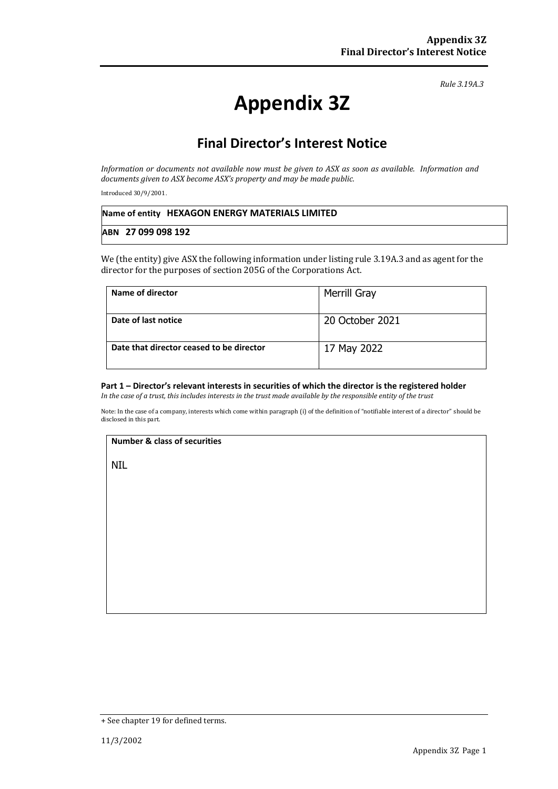*Rule 3.19A.3*

# **Appendix 3Z**

## **Final Director's Interest Notice**

*Information or documents not available now must be given to ASX as soon as available. Information and documents given to ASX become ASX's property and may be made public.*

Introduced 30/9/2001.

|                    | Name of entity HEXAGON ENERGY MATERIALS LIMITED |
|--------------------|-------------------------------------------------|
| ABN 27 099 098 192 |                                                 |

We (the entity) give ASX the following information under listing rule 3.19A.3 and as agent for the director for the purposes of section 205G of the Corporations Act.

| Name of director                         | Merrill Gray    |
|------------------------------------------|-----------------|
| Date of last notice                      | 20 October 2021 |
| Date that director ceased to be director | 17 May 2022     |

#### **Part 1 – Director's relevant interests in securities of which the director is the registered holder**

*In the case of a trust, this includes interests in the trust made available by the responsible entity of the trust*

Note: In the case of a company, interests which come within paragraph (i) of the definition of "notifiable interest of a director" should be disclosed in this part.

#### **Number & class of securities**

NIL

<sup>+</sup> See chapter 19 for defined terms.